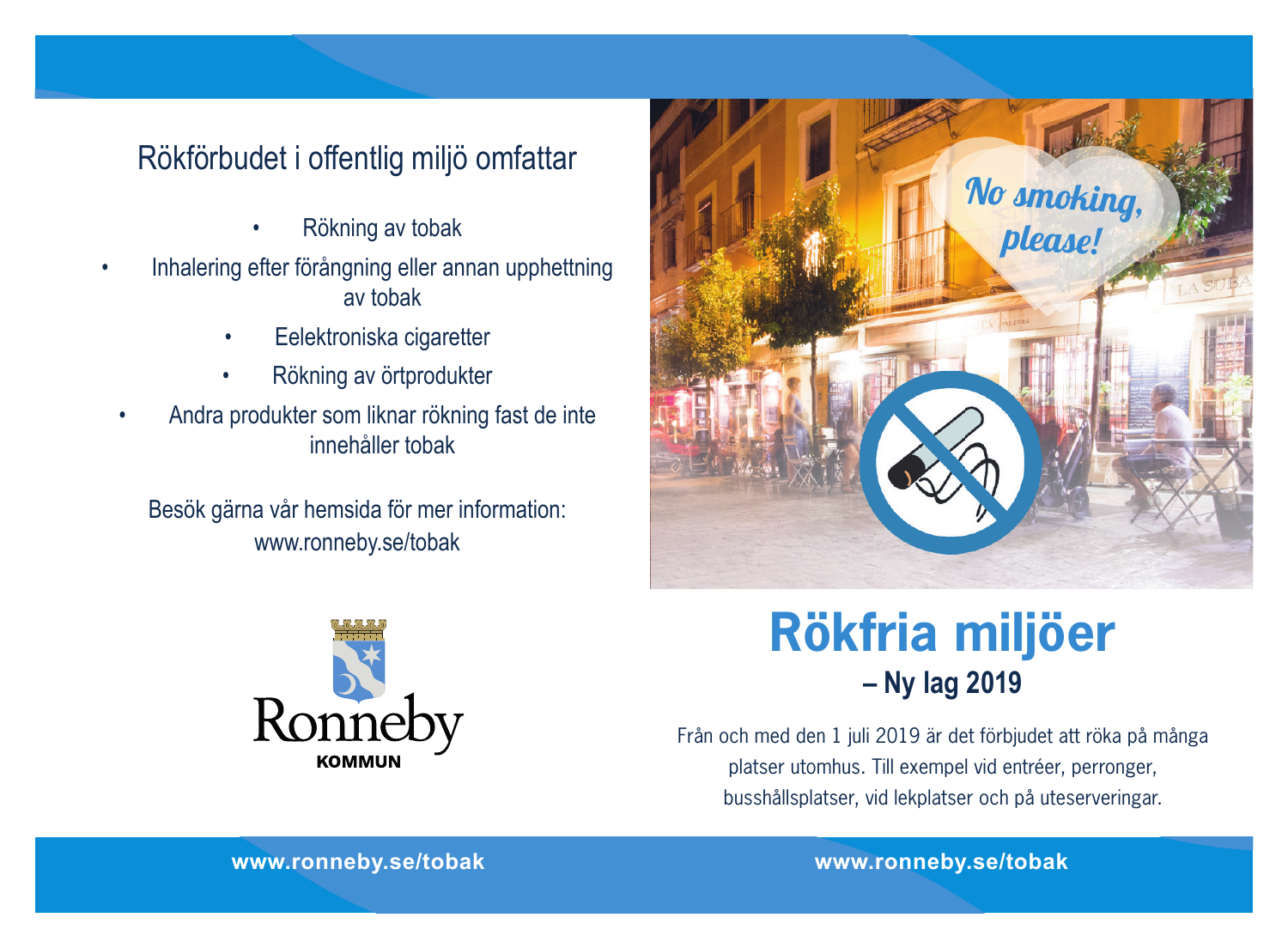## Rökförbudet i offentlig miljö omfattar

- Rökning av tobak
- Inhalering efter förångning eller annan upphettning av tobak
	- Eelektroniska cigaretter
	- Rökning av örtprodukter
- Andra produkter som liknar rökning fast de inte innehåller tobak

Besök gärna vår hemsida för mer information: <www.ronneby.se/tobak>





# **Rökfria miljöer – Ny lag 2019**

Från och med den 1 juli 2019 är det förbjudet att röka på många platser utomhus. Till exempel vid entréer, perronger, busshållsplatser, vid lekplatser och på uteserveringar.